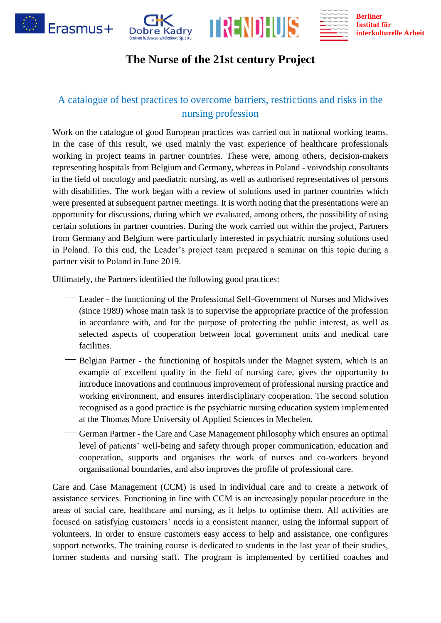

## **The Nurse of the 21st century Project**

## A catalogue of best practices to overcome barriers, restrictions and risks in the nursing profession

Work on the catalogue of good European practices was carried out in national working teams. In the case of this result, we used mainly the vast experience of healthcare professionals working in project teams in partner countries. These were, among others, decision-makers representing hospitals from Belgium and Germany, whereas in Poland - voivodship consultants in the field of oncology and paediatric nursing, as well as authorised representatives of persons with disabilities. The work began with a review of solutions used in partner countries which were presented at subsequent partner meetings. It is worth noting that the presentations were an opportunity for discussions, during which we evaluated, among others, the possibility of using certain solutions in partner countries. During the work carried out within the project, Partners from Germany and Belgium were particularly interested in psychiatric nursing solutions used in Poland. To this end, the Leader's project team prepared a seminar on this topic during a partner visit to Poland in June 2019.

Ultimately, the Partners identified the following good practices:

- Leader the functioning of the Professional Self-Government of Nurses and Midwives (since 1989) whose main task is to supervise the appropriate practice of the profession in accordance with, and for the purpose of protecting the public interest, as well as selected aspects of cooperation between local government units and medical care facilities.
- ⎯ Belgian Partner the functioning of hospitals under the Magnet system, which is an example of excellent quality in the field of nursing care, gives the opportunity to introduce innovations and continuous improvement of professional nursing practice and working environment, and ensures interdisciplinary cooperation. The second solution recognised as a good practice is the psychiatric nursing education system implemented at the Thomas More University of Applied Sciences in Mechelen.
- German Partner the Care and Case Management philosophy which ensures an optimal level of patients' well-being and safety through proper communication, education and cooperation, supports and organises the work of nurses and co-workers beyond organisational boundaries, and also improves the profile of professional care.

Care and Case Management (CCM) is used in individual care and to create a network of assistance services. Functioning in line with CCM is an increasingly popular procedure in the areas of social care, healthcare and nursing, as it helps to optimise them. All activities are focused on satisfying customers' needs in a consistent manner, using the informal support of volunteers. In order to ensure customers easy access to help and assistance, one configures support networks. The training course is dedicated to students in the last year of their studies, former students and nursing staff. The program is implemented by certified coaches and